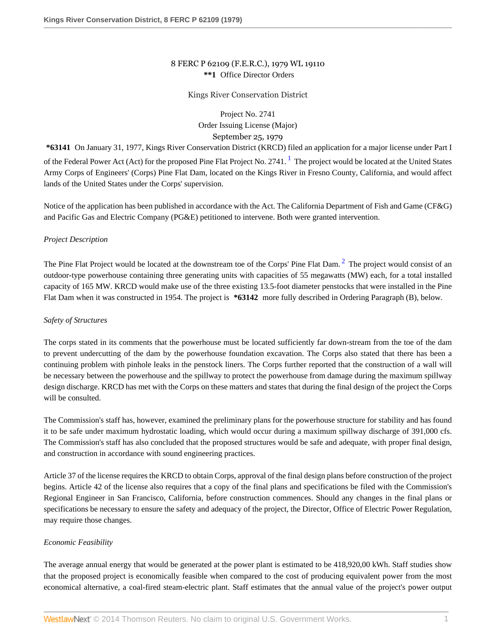# 8 FERC P 62109 (F.E.R.C.), 1979 WL 19110 **\*\*1** Office Director Orders

#### Kings River Conservation District

<span id="page-0-1"></span><span id="page-0-0"></span>Project No. 2741 Order Issuing License (Major) September 25, 1979

**\*63141** On January 31, 1977, Kings River Conservation District (KRCD) filed an application for a major license under Part I of the Federal Power Act (Act) for the proposed Pine Flat Project No. 274[1](#page-8-0). <sup>1</sup> The project would be located at the United States Army Corps of Engineers' (Corps) Pine Flat Dam, located on the Kings River in Fresno County, California, and would affect lands of the United States under the Corps' supervision.

Notice of the application has been published in accordance with the Act. The California Department of Fish and Game (CF&G) and Pacific Gas and Electric Company (PG&E) petitioned to intervene. Both were granted intervention.

#### *Project Description*

The Pine Flat Project would be located at the downstream toe of the Corps' Pine Flat Dam.<sup>[2](#page-8-1)</sup> The project would consist of an outdoor-type powerhouse containing three generating units with capacities of 55 megawatts (MW) each, for a total installed capacity of 165 MW. KRCD would make use of the three existing 13.5-foot diameter penstocks that were installed in the Pine Flat Dam when it was constructed in 1954. The project is **\*63142** more fully described in Ordering Paragraph (B), below.

#### *Safety of Structures*

The corps stated in its comments that the powerhouse must be located sufficiently far down-stream from the toe of the dam to prevent undercutting of the dam by the powerhouse foundation excavation. The Corps also stated that there has been a continuing problem with pinhole leaks in the penstock liners. The Corps further reported that the construction of a wall will be necessary between the powerhouse and the spillway to protect the powerhouse from damage during the maximum spillway design discharge. KRCD has met with the Corps on these matters and states that during the final design of the project the Corps will be consulted.

The Commission's staff has, however, examined the preliminary plans for the powerhouse structure for stability and has found it to be safe under maximum hydrostatic loading, which would occur during a maximum spillway discharge of 391,000 cfs. The Commission's staff has also concluded that the proposed structures would be safe and adequate, with proper final design, and construction in accordance with sound engineering practices.

Article 37 of the license requires the KRCD to obtain Corps, approval of the final design plans before construction of the project begins. Article 42 of the license also requires that a copy of the final plans and specifications be filed with the Commission's Regional Engineer in San Francisco, California, before construction commences. Should any changes in the final plans or specifications be necessary to ensure the safety and adequacy of the project, the Director, Office of Electric Power Regulation, may require those changes.

## *Economic Feasibility*

The average annual energy that would be generated at the power plant is estimated to be 418,920,00 kWh. Staff studies show that the proposed project is economically feasible when compared to the cost of producing equivalent power from the most economical alternative, a coal-fired steam-electric plant. Staff estimates that the annual value of the project's power output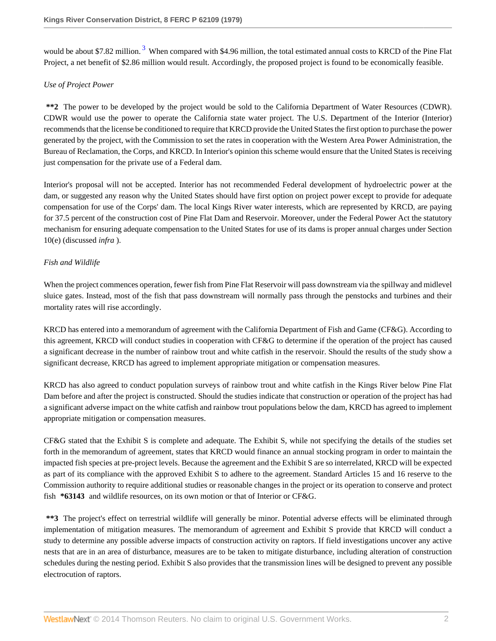<span id="page-1-0"></span>would be about \$7.82 million.<sup>[3](#page-8-2)</sup> When compared with \$4.96 million, the total estimated annual costs to KRCD of the Pine Flat Project, a net benefit of \$2.86 million would result. Accordingly, the proposed project is found to be economically feasible.

## *Use of Project Power*

**\*\*2** The power to be developed by the project would be sold to the California Department of Water Resources (CDWR). CDWR would use the power to operate the California state water project. The U.S. Department of the Interior (Interior) recommends that the license be conditioned to require that KRCD provide the United States the first option to purchase the power generated by the project, with the Commission to set the rates in cooperation with the Western Area Power Administration, the Bureau of Reclamation, the Corps, and KRCD. In Interior's opinion this scheme would ensure that the United States is receiving just compensation for the private use of a Federal dam.

Interior's proposal will not be accepted. Interior has not recommended Federal development of hydroelectric power at the dam, or suggested any reason why the United States should have first option on project power except to provide for adequate compensation for use of the Corps' dam. The local Kings River water interests, which are represented by KRCD, are paying for 37.5 percent of the construction cost of Pine Flat Dam and Reservoir. Moreover, under the Federal Power Act the statutory mechanism for ensuring adequate compensation to the United States for use of its dams is proper annual charges under Section 10(e) (discussed *infra* ).

# *Fish and Wildlife*

When the project commences operation, fewer fish from Pine Flat Reservoir will pass downstream via the spillway and midlevel sluice gates. Instead, most of the fish that pass downstream will normally pass through the penstocks and turbines and their mortality rates will rise accordingly.

KRCD has entered into a memorandum of agreement with the California Department of Fish and Game (CF&G). According to this agreement, KRCD will conduct studies in cooperation with CF&G to determine if the operation of the project has caused a significant decrease in the number of rainbow trout and white catfish in the reservoir. Should the results of the study show a significant decrease, KRCD has agreed to implement appropriate mitigation or compensation measures.

KRCD has also agreed to conduct population surveys of rainbow trout and white catfish in the Kings River below Pine Flat Dam before and after the project is constructed. Should the studies indicate that construction or operation of the project has had a significant adverse impact on the white catfish and rainbow trout populations below the dam, KRCD has agreed to implement appropriate mitigation or compensation measures.

CF&G stated that the Exhibit S is complete and adequate. The Exhibit S, while not specifying the details of the studies set forth in the memorandum of agreement, states that KRCD would finance an annual stocking program in order to maintain the impacted fish species at pre-project levels. Because the agreement and the Exhibit S are so interrelated, KRCD will be expected as part of its compliance with the approved Exhibit S to adhere to the agreement. Standard Articles 15 and 16 reserve to the Commission authority to require additional studies or reasonable changes in the project or its operation to conserve and protect fish **\*63143** and wildlife resources, on its own motion or that of Interior or CF&G.

**\*\*3** The project's effect on terrestrial wildlife will generally be minor. Potential adverse effects will be eliminated through implementation of mitigation measures. The memorandum of agreement and Exhibit S provide that KRCD will conduct a study to determine any possible adverse impacts of construction activity on raptors. If field investigations uncover any active nests that are in an area of disturbance, measures are to be taken to mitigate disturbance, including alteration of construction schedules during the nesting period. Exhibit S also provides that the transmission lines will be designed to prevent any possible electrocution of raptors.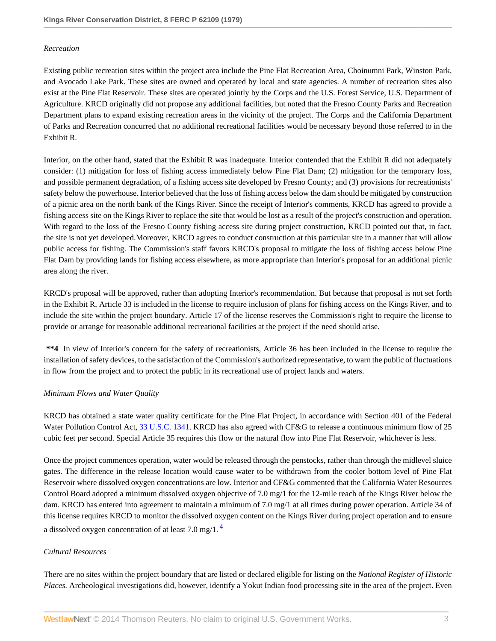### *Recreation*

Existing public recreation sites within the project area include the Pine Flat Recreation Area, Choinumni Park, Winston Park, and Avocado Lake Park. These sites are owned and operated by local and state agencies. A number of recreation sites also exist at the Pine Flat Reservoir. These sites are operated jointly by the Corps and the U.S. Forest Service, U.S. Department of Agriculture. KRCD originally did not propose any additional facilities, but noted that the Fresno County Parks and Recreation Department plans to expand existing recreation areas in the vicinity of the project. The Corps and the California Department of Parks and Recreation concurred that no additional recreational facilities would be necessary beyond those referred to in the Exhibit R.

Interior, on the other hand, stated that the Exhibit R was inadequate. Interior contended that the Exhibit R did not adequately consider: (1) mitigation for loss of fishing access immediately below Pine Flat Dam; (2) mitigation for the temporary loss, and possible permanent degradation, of a fishing access site developed by Fresno County; and (3) provisions for recreationists' safety below the powerhouse. Interior believed that the loss of fishing access below the dam should be mitigated by construction of a picnic area on the north bank of the Kings River. Since the receipt of Interior's comments, KRCD has agreed to provide a fishing access site on the Kings River to replace the site that would be lost as a result of the project's construction and operation. With regard to the loss of the Fresno County fishing access site during project construction, KRCD pointed out that, in fact, the site is not yet developed.Moreover, KRCD agrees to conduct construction at this particular site in a manner that will allow public access for fishing. The Commission's staff favors KRCD's proposal to mitigate the loss of fishing access below Pine Flat Dam by providing lands for fishing access elsewhere, as more appropriate than Interior's proposal for an additional picnic area along the river.

KRCD's proposal will be approved, rather than adopting Interior's recommendation. But because that proposal is not set forth in the Exhibit R, Article 33 is included in the license to require inclusion of plans for fishing access on the Kings River, and to include the site within the project boundary. Article 17 of the license reserves the Commission's right to require the license to provide or arrange for reasonable additional recreational facilities at the project if the need should arise.

**\*\*4** In view of Interior's concern for the safety of recreationists, Article 36 has been included in the license to require the installation of safety devices, to the satisfaction of the Commission's authorized representative, to warn the public of fluctuations in flow from the project and to protect the public in its recreational use of project lands and waters.

## *Minimum Flows and Water Quality*

KRCD has obtained a state water quality certificate for the Pine Flat Project, in accordance with Section 401 of the Federal Water Pollution Control Act, [33 U.S.C. 1341.](http://www.westlaw.com/Link/Document/FullText?findType=L&pubNum=1000546&cite=33USCAS1341&originatingDoc=I46a68245393c11dbbffafa490ee528f6&refType=LQ&originationContext=document&vr=3.0&rs=cblt1.0&transitionType=DocumentItem&contextData=(sc.DocLink)) KRCD has also agreed with CF&G to release a continuous minimum flow of 25 cubic feet per second. Special Article 35 requires this flow or the natural flow into Pine Flat Reservoir, whichever is less.

Once the project commences operation, water would be released through the penstocks, rather than through the midlevel sluice gates. The difference in the release location would cause water to be withdrawn from the cooler bottom level of Pine Flat Reservoir where dissolved oxygen concentrations are low. Interior and CF&G commented that the California Water Resources Control Board adopted a minimum dissolved oxygen objective of 7.0 mg/1 for the 12-mile reach of the Kings River below the dam. KRCD has entered into agreement to maintain a minimum of 7.0 mg/1 at all times during power operation. Article 34 of this license requires KRCD to monitor the dissolved oxygen content on the Kings River during project operation and to ensure a dissolved oxygen concentration of at least  $7.0 \text{ mg}/1.4$  $7.0 \text{ mg}/1.4$ 

## <span id="page-2-0"></span>*Cultural Resources*

There are no sites within the project boundary that are listed or declared eligible for listing on the *National Register of Historic Places.* Archeological investigations did, however, identify a Yokut Indian food processing site in the area of the project. Even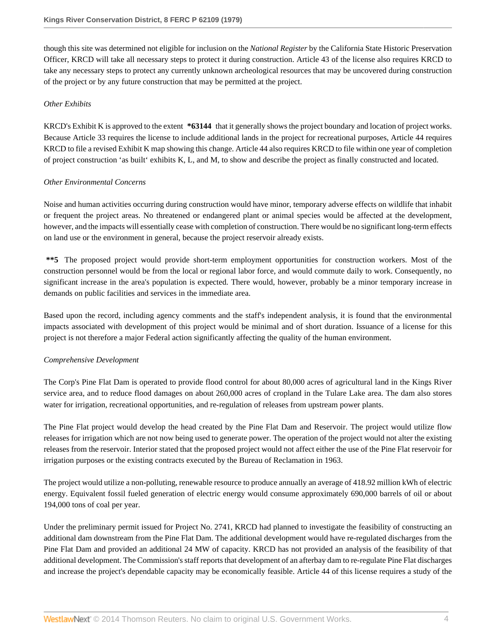though this site was determined not eligible for inclusion on the *National Register* by the California State Historic Preservation Officer, KRCD will take all necessary steps to protect it during construction. Article 43 of the license also requires KRCD to take any necessary steps to protect any currently unknown archeological resources that may be uncovered during construction of the project or by any future construction that may be permitted at the project.

## *Other Exhibits*

KRCD's Exhibit K is approved to the extent **\*63144** that it generally shows the project boundary and location of project works. Because Article 33 requires the license to include additional lands in the project for recreational purposes, Article 44 requires KRCD to file a revised Exhibit K map showing this change. Article 44 also requires KRCD to file within one year of completion of project construction 'as built' exhibits K, L, and M, to show and describe the project as finally constructed and located.

## *Other Environmental Concerns*

Noise and human activities occurring during construction would have minor, temporary adverse effects on wildlife that inhabit or frequent the project areas. No threatened or endangered plant or animal species would be affected at the development, however, and the impacts will essentially cease with completion of construction. There would be no significant long-term effects on land use or the environment in general, because the project reservoir already exists.

**\*\*5** The proposed project would provide short-term employment opportunities for construction workers. Most of the construction personnel would be from the local or regional labor force, and would commute daily to work. Consequently, no significant increase in the area's population is expected. There would, however, probably be a minor temporary increase in demands on public facilities and services in the immediate area.

Based upon the record, including agency comments and the staff's independent analysis, it is found that the environmental impacts associated with development of this project would be minimal and of short duration. Issuance of a license for this project is not therefore a major Federal action significantly affecting the quality of the human environment.

## *Comprehensive Development*

The Corp's Pine Flat Dam is operated to provide flood control for about 80,000 acres of agricultural land in the Kings River service area, and to reduce flood damages on about 260,000 acres of cropland in the Tulare Lake area. The dam also stores water for irrigation, recreational opportunities, and re-regulation of releases from upstream power plants.

The Pine Flat project would develop the head created by the Pine Flat Dam and Reservoir. The project would utilize flow releases for irrigation which are not now being used to generate power. The operation of the project would not alter the existing releases from the reservoir. Interior stated that the proposed project would not affect either the use of the Pine Flat reservoir for irrigation purposes or the existing contracts executed by the Bureau of Reclamation in 1963.

The project would utilize a non-polluting, renewable resource to produce annually an average of 418.92 million kWh of electric energy. Equivalent fossil fueled generation of electric energy would consume approximately 690,000 barrels of oil or about 194,000 tons of coal per year.

Under the preliminary permit issued for Project No. 2741, KRCD had planned to investigate the feasibility of constructing an additional dam downstream from the Pine Flat Dam. The additional development would have re-regulated discharges from the Pine Flat Dam and provided an additional 24 MW of capacity. KRCD has not provided an analysis of the feasibility of that additional development. The Commission's staff reports that development of an afterbay dam to re-regulate Pine Flat discharges and increase the project's dependable capacity may be economically feasible. Article 44 of this license requires a study of the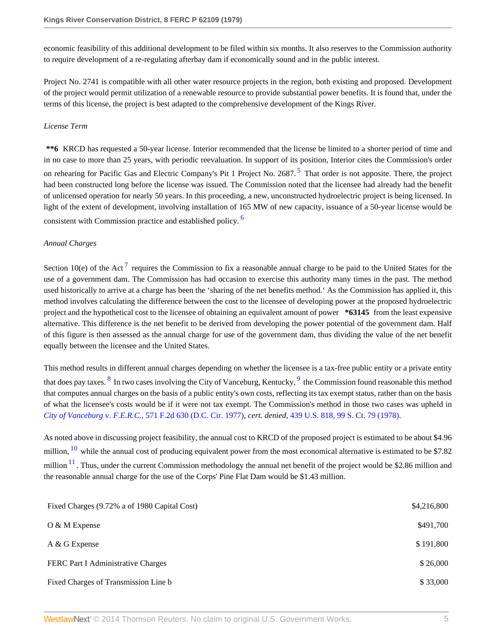economic feasibility of this additional development to be filed within six months. It also reserves to the Commission authority to require development of a re-regulating afterbay dam if economically sound and in the public interest.

Project No. 2741 is compatible with all other water resource projects in the region, both existing and proposed. Development of the project would permit utilization of a renewable resource to provide substantial power benefits. It is found that, under the terms of this license, the project is best adapted to the comprehensive development of the Kings River.

# *License Term*

<span id="page-4-0"></span>**\*\*6** KRCD has requested a 50-year license. Interior recommended that the license be limited to a shorter period of time and in no case to more than 25 years, with periodic reevaluation. In support of its position, Interior cites the Commission's order on rehearing for Pacific Gas and Electric Company's Pit 1 Project No. 2687.<sup>[5](#page-8-4)</sup> That order is not apposite. There, the project had been constructed long before the license was issued. The Commission noted that the licensee had already had the benefit of unlicensed operation for nearly 50 years. In this proceeding, a new, unconstructed hydroelectric project is being licensed. In light of the extent of development, involving installation of 165 MW of new capacity, issuance of a 50-year license would be consistent with Commission practice and established policy. [6](#page-8-5)

# <span id="page-4-1"></span>*Annual Charges*

<span id="page-4-2"></span>Section 10(e) of the Act<sup>[7](#page-8-6)</sup> requires the Commission to fix a reasonable annual charge to be paid to the United States for the use of a government dam. The Commission has had occasion to exercise this authority many times in the past. The method used historically to arrive at a charge has been the 'sharing of the net benefits method.' As the Commission has applied it, this method involves calculating the difference between the cost to the licensee of developing power at the proposed hydroelectric project and the hypothetical cost to the licensee of obtaining an equivalent amount of power **\*63145** from the least expensive alternative. This difference is the net benefit to be derived from developing the power potential of the government dam. Half of this figure is then assessed as the annual charge for use of the government dam, thus dividing the value of the net benefit equally between the licensee and the United States.

<span id="page-4-4"></span><span id="page-4-3"></span>This method results in different annual charges depending on whether the licensee is a tax-free public entity or a private entity that does pay taxes. <sup>[8](#page-8-7)</sup> In two cases involving the City of Vanceburg, Kentucky, <sup>[9](#page-8-8)</sup> the Commission found reasonable this method that computes annual charges on the basis of a public entity's own costs, reflecting its tax exempt status, rather than on the basis of what the licensee's costs would be if it were not tax exempt. The Commission's method in those two cases was upheld in *City of Vanceburg* v. *F.E.R.C.,* [571 F.2d 630 \(D.C. Cir. 1977\)](http://www.westlaw.com/Link/Document/FullText?findType=Y&serNum=1977125021&pubNum=350&originationContext=document&vr=3.0&rs=cblt1.0&transitionType=DocumentItem&contextData=(sc.DocLink)), *cert. denied,* [439 U.S. 818, 99 S. Ct. 79 \(1978\).](http://www.westlaw.com/Link/Document/FullText?findType=Y&serNum=1978228204&pubNum=708&originationContext=document&vr=3.0&rs=cblt1.0&transitionType=DocumentItem&contextData=(sc.DocLink))

<span id="page-4-6"></span><span id="page-4-5"></span>As noted above in discussing project feasibility, the annual cost to KRCD of the proposed project is estimated to be about \$4.96 million,  $^{10}$  $^{10}$  $^{10}$  while the annual cost of producing equivalent power from the most economical alternative is estimated to be \$7.82 million  $11$ . Thus, under the current Commission methodology the annual net benefit of the project would be \$2.86 million and the reasonable annual charge for the use of the Corps' Pine Flat Dam would be \$1.43 million.

| Fixed Charges (9.72% a of 1980 Capital Cost) | \$4,216,800 |
|----------------------------------------------|-------------|
| $O & M$ Expense                              | \$491,700   |
| A & G Expense                                | \$191,800   |
| FERC Part I Administrative Charges           | \$26,000    |
| Fixed Charges of Transmission Line b         | \$33,000    |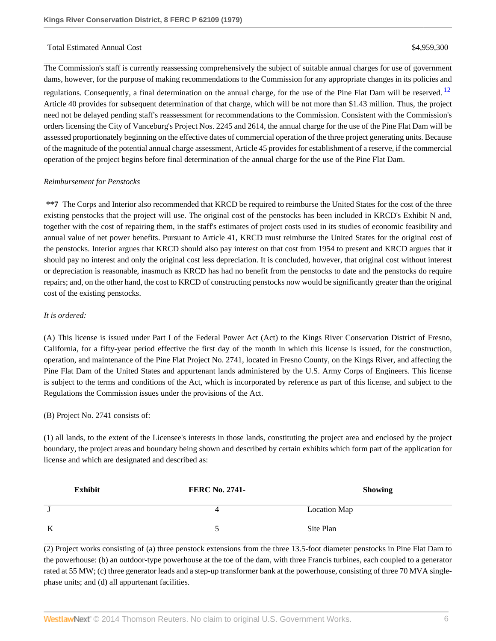#### <span id="page-5-0"></span>Total Estimated Annual Cost \$4,959,300

The Commission's staff is currently reassessing comprehensively the subject of suitable annual charges for use of government dams, however, for the purpose of making recommendations to the Commission for any appropriate changes in its policies and regulations. Consequently, a final determination on the annual charge, for the use of the Pine Flat Dam will be reserved.<sup>[12](#page-9-1)</sup> Article 40 provides for subsequent determination of that charge, which will be not more than \$1.43 million. Thus, the project need not be delayed pending staff's reassessment for recommendations to the Commission. Consistent with the Commission's orders licensing the City of Vanceburg's Project Nos. 2245 and 2614, the annual charge for the use of the Pine Flat Dam will be assessed proportionately beginning on the effective dates of commercial operation of the three project generating units. Because of the magnitude of the potential annual charge assessment, Article 45 provides for establishment of a reserve, if the commercial operation of the project begins before final determination of the annual charge for the use of the Pine Flat Dam.

#### *Reimbursement for Penstocks*

**\*\*7** The Corps and Interior also recommended that KRCD be required to reimburse the United States for the cost of the three existing penstocks that the project will use. The original cost of the penstocks has been included in KRCD's Exhibit N and, together with the cost of repairing them, in the staff's estimates of project costs used in its studies of economic feasibility and annual value of net power benefits. Pursuant to Article 41, KRCD must reimburse the United States for the original cost of the penstocks. Interior argues that KRCD should also pay interest on that cost from 1954 to present and KRCD argues that it should pay no interest and only the original cost less depreciation. It is concluded, however, that original cost without interest or depreciation is reasonable, inasmuch as KRCD has had no benefit from the penstocks to date and the penstocks do require repairs; and, on the other hand, the cost to KRCD of constructing penstocks now would be significantly greater than the original cost of the existing penstocks.

#### *It is ordered:*

(A) This license is issued under Part I of the Federal Power Act (Act) to the Kings River Conservation District of Fresno, California, for a fifty-year period effective the first day of the month in which this license is issued, for the construction, operation, and maintenance of the Pine Flat Project No. 2741, located in Fresno County, on the Kings River, and affecting the Pine Flat Dam of the United States and appurtenant lands administered by the U.S. Army Corps of Engineers. This license is subject to the terms and conditions of the Act, which is incorporated by reference as part of this license, and subject to the Regulations the Commission issues under the provisions of the Act.

#### (B) Project No. 2741 consists of:

(1) all lands, to the extent of the Licensee's interests in those lands, constituting the project area and enclosed by the project boundary, the project areas and boundary being shown and described by certain exhibits which form part of the application for license and which are designated and described as:

| <b>Exhibit</b> | <b>FERC No. 2741-</b> | <b>Showing</b> |
|----------------|-----------------------|----------------|
|                | 4                     | Location Map   |
| K              |                       | Site Plan      |

(2) Project works consisting of (a) three penstock extensions from the three 13.5-foot diameter penstocks in Pine Flat Dam to the powerhouse: (b) an outdoor-type powerhouse at the toe of the dam, with three Francis turbines, each coupled to a generator rated at 55 MW; (c) three generator leads and a step-up transformer bank at the powerhouse, consisting of three 70 MVA singlephase units; and (d) all appurtenant facilities.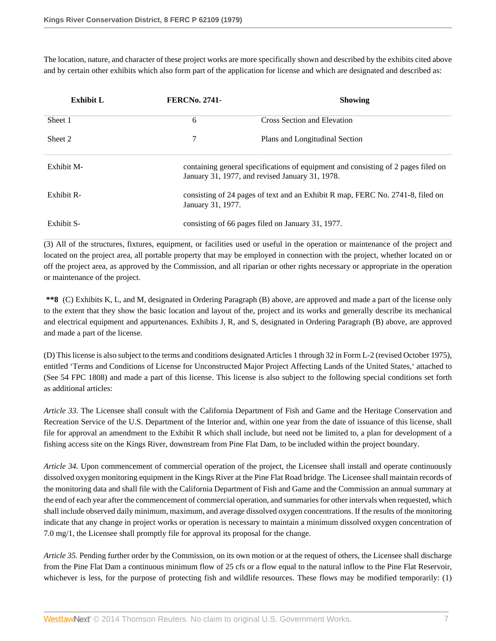The location, nature, and character of these project works are more specifically shown and described by the exhibits cited above and by certain other exhibits which also form part of the application for license and which are designated and described as:

| <b>Exhibit L</b> | <b>FERCNo. 2741-</b> | <b>Showing</b>                                                                                                                       |  |
|------------------|----------------------|--------------------------------------------------------------------------------------------------------------------------------------|--|
| Sheet 1          | 6                    | Cross Section and Elevation                                                                                                          |  |
| Sheet 2          | 7                    | Plans and Longitudinal Section                                                                                                       |  |
| Exhibit M-       |                      | containing general specifications of equipment and consisting of 2 pages filed on<br>January 31, 1977, and revised January 31, 1978. |  |
| Exhibit R-       | January 31, 1977.    | consisting of 24 pages of text and an Exhibit R map, FERC No. 2741-8, filed on                                                       |  |
| Exhibit S-       |                      | consisting of 66 pages filed on January 31, 1977.                                                                                    |  |

(3) All of the structures, fixtures, equipment, or facilities used or useful in the operation or maintenance of the project and located on the project area, all portable property that may be employed in connection with the project, whether located on or off the project area, as approved by the Commission, and all riparian or other rights necessary or appropriate in the operation or maintenance of the project.

**\*\*8** (C) Exhibits K, L, and M, designated in Ordering Paragraph (B) above, are approved and made a part of the license only to the extent that they show the basic location and layout of the, project and its works and generally describe its mechanical and electrical equipment and appurtenances. Exhibits J, R, and S, designated in Ordering Paragraph (B) above, are approved and made a part of the license.

(D) This license is also subject to the terms and conditions designated Articles 1 through 32 in Form L-2 (revised October 1975), entitled 'Terms and Conditions of License for Unconstructed Major Project Affecting Lands of the United States,' attached to (See 54 FPC 1808) and made a part of this license. This license is also subject to the following special conditions set forth as additional articles:

*Article 33.* The Licensee shall consult with the California Department of Fish and Game and the Heritage Conservation and Recreation Service of the U.S. Department of the Interior and, within one year from the date of issuance of this license, shall file for approval an amendment to the Exhibit R which shall include, but need not be limited to, a plan for development of a fishing access site on the Kings River, downstream from Pine Flat Dam, to be included within the project boundary.

*Article 34.* Upon commencement of commercial operation of the project, the Licensee shall install and operate continuously dissolved oxygen monitoring equipment in the Kings River at the Pine Flat Road bridge. The Licensee shall maintain records of the monitoring data and shall file with the California Department of Fish and Game and the Commission an annual summary at the end of each year after the commencement of commercial operation, and summaries for other intervals when requested, which shall include observed daily minimum, maximum, and average dissolved oxygen concentrations. If the results of the monitoring indicate that any change in project works or operation is necessary to maintain a minimum dissolved oxygen concentration of 7.0 mg/1, the Licensee shall promptly file for approval its proposal for the change.

*Article 35.* Pending further order by the Commission, on its own motion or at the request of others, the Licensee shall discharge from the Pine Flat Dam a continuous minimum flow of 25 cfs or a flow equal to the natural inflow to the Pine Flat Reservoir, whichever is less, for the purpose of protecting fish and wildlife resources. These flows may be modified temporarily: (1)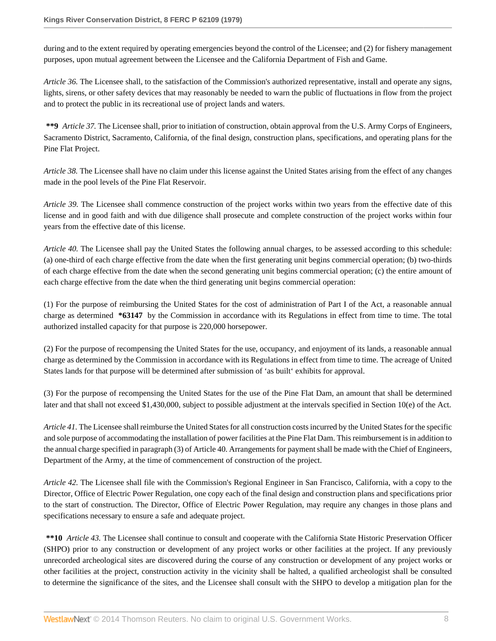during and to the extent required by operating emergencies beyond the control of the Licensee; and (2) for fishery management purposes, upon mutual agreement between the Licensee and the California Department of Fish and Game.

*Article 36.* The Licensee shall, to the satisfaction of the Commission's authorized representative, install and operate any signs, lights, sirens, or other safety devices that may reasonably be needed to warn the public of fluctuations in flow from the project and to protect the public in its recreational use of project lands and waters.

**\*\*9** *Article 37.* The Licensee shall, prior to initiation of construction, obtain approval from the U.S. Army Corps of Engineers, Sacramento District, Sacramento, California, of the final design, construction plans, specifications, and operating plans for the Pine Flat Project.

*Article 38.* The Licensee shall have no claim under this license against the United States arising from the effect of any changes made in the pool levels of the Pine Flat Reservoir.

*Article 39.* The Licensee shall commence construction of the project works within two years from the effective date of this license and in good faith and with due diligence shall prosecute and complete construction of the project works within four years from the effective date of this license.

*Article 40.* The Licensee shall pay the United States the following annual charges, to be assessed according to this schedule: (a) one-third of each charge effective from the date when the first generating unit begins commercial operation; (b) two-thirds of each charge effective from the date when the second generating unit begins commercial operation; (c) the entire amount of each charge effective from the date when the third generating unit begins commercial operation:

(1) For the purpose of reimbursing the United States for the cost of administration of Part I of the Act, a reasonable annual charge as determined **\*63147** by the Commission in accordance with its Regulations in effect from time to time. The total authorized installed capacity for that purpose is 220,000 horsepower.

(2) For the purpose of recompensing the United States for the use, occupancy, and enjoyment of its lands, a reasonable annual charge as determined by the Commission in accordance with its Regulations in effect from time to time. The acreage of United States lands for that purpose will be determined after submission of 'as built' exhibits for approval.

(3) For the purpose of recompensing the United States for the use of the Pine Flat Dam, an amount that shall be determined later and that shall not exceed \$1,430,000, subject to possible adjustment at the intervals specified in Section 10(e) of the Act.

*Article 41.* The Licensee shall reimburse the United States for all construction costs incurred by the United States for the specific and sole purpose of accommodating the installation of power facilities at the Pine Flat Dam. This reimbursement is in addition to the annual charge specified in paragraph (3) of Article 40. Arrangements for payment shall be made with the Chief of Engineers, Department of the Army, at the time of commencement of construction of the project.

*Article 42.* The Licensee shall file with the Commission's Regional Engineer in San Francisco, California, with a copy to the Director, Office of Electric Power Regulation, one copy each of the final design and construction plans and specifications prior to the start of construction. The Director, Office of Electric Power Regulation, may require any changes in those plans and specifications necessary to ensure a safe and adequate project.

**\*\*10** *Article 43.* The Licensee shall continue to consult and cooperate with the California State Historic Preservation Officer (SHPO) prior to any construction or development of any project works or other facilities at the project. If any previously unrecorded archeological sites are discovered during the course of any construction or development of any project works or other facilities at the project, construction activity in the vicinity shall be halted, a qualified archeologist shall be consulted to determine the significance of the sites, and the Licensee shall consult with the SHPO to develop a mitigation plan for the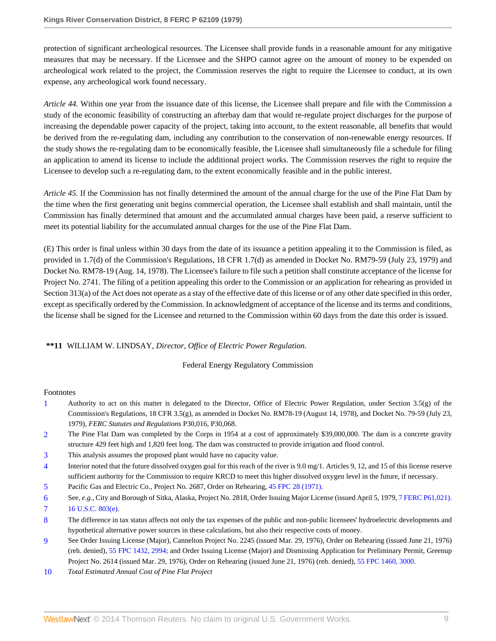protection of significant archeological resources. The Licensee shall provide funds in a reasonable amount for any mitigative measures that may be necessary. If the Licensee and the SHPO cannot agree on the amount of money to be expended on archeological work related to the project, the Commission reserves the right to require the Licensee to conduct, at its own expense, any archeological work found necessary.

*Article 44.* Within one year from the issuance date of this license, the Licensee shall prepare and file with the Commission a study of the economic feasibility of constructing an afterbay dam that would re-regulate project discharges for the purpose of increasing the dependable power capacity of the project, taking into account, to the extent reasonable, all benefits that would be derived from the re-regulating dam, including any contribution to the conservation of non-renewable energy resources. If the study shows the re-regulating dam to be economically feasible, the Licensee shall simultaneously file a schedule for filing an application to amend its license to include the additional project works. The Commission reserves the right to require the Licensee to develop such a re-regulating dam, to the extent economically feasible and in the public interest.

*Article 45.* If the Commission has not finally determined the amount of the annual charge for the use of the Pine Flat Dam by the time when the first generating unit begins commercial operation, the Licensee shall establish and shall maintain, until the Commission has finally determined that amount and the accumulated annual charges have been paid, a reserve sufficient to meet its potential liability for the accumulated annual charges for the use of the Pine Flat Dam.

(E) This order is final unless within 30 days from the date of its issuance a petition appealing it to the Commission is filed, as provided in 1.7(d) of the Commission's Regulations, 18 CFR 1.7(d) as amended in Docket No. RM79-59 (July 23, 1979) and Docket No. RM78-19 (Aug. 14, 1978). The Licensee's failure to file such a petition shall constitute acceptance of the license for Project No. 2741. The filing of a petition appealing this order to the Commission or an application for rehearing as provided in Section 313(a) of the Act does not operate as a stay of the effective date of this license or of any other date specified in this order, except as specifically ordered by the Commission. In acknowledgment of acceptance of the license and its terms and conditions, the license shall be signed for the Licensee and returned to the Commission within 60 days from the date this order is issued.

## **\*\*11** WILLIAM W. LINDSAY, *Director, Office of Electric Power Regulation.*

#### Federal Energy Regulatory Commission

#### Footnotes

- <span id="page-8-0"></span>[1](#page-0-0) Authority to act on this matter is delegated to the Director, Office of Electric Power Regulation, under Section 3.5(g) of the Commission's Regulations, 18 CFR 3.5(g), as amended in Docket No. RM78-19 (August 14, 1978), and Docket No. 79-59 (July 23, 1979), *FERC Statutes and Regulations* P30,016, P30,068.
- <span id="page-8-1"></span>[2](#page-0-1) The Pine Flat Dam was completed by the Corps in 1954 at a cost of approximately \$39,000,000. The dam is a concrete gravity structure 429 feet high and 1,820 feet long. The dam was constructed to provide irrigation and flood control.
- <span id="page-8-2"></span>[3](#page-1-0) This analysis assumes the proposed plant would have no capacity value.
- <span id="page-8-3"></span>[4](#page-2-0) Interior noted that the future dissolved oxygen goal for this reach of the river is 9.0 mg/1. Articles 9, 12, and 15 of this license reserve sufficient authority for the Commission to require KRCD to meet this higher dissolved oxygen level in the future, if necessary.
- <span id="page-8-4"></span>[5](#page-4-0) Pacific Gas and Electric Co., Project No. 2687, Order on Rehearing, [45 FPC 28 \(1971\).](http://www.westlaw.com/Link/Document/FullText?findType=Y&serNum=1971139526&pubNum=0000921&originationContext=document&vr=3.0&rs=cblt1.0&transitionType=DocumentItem&contextData=(sc.DocLink))
- <span id="page-8-5"></span>[6](#page-4-1) See, *e.g.,* City and Borough of Sitka, Alaska, Project No. 2818, Order Issuing Major License (issued April 5, 1979, [7 FERC P61,021\).](http://www.westlaw.com/Link/Document/FullText?findType=Y&pubNum=920&cite=7FERCPP61&originationContext=document&vr=3.0&rs=cblt1.0&transitionType=DocumentItem&contextData=(sc.DocLink)#co_pp_sp_920_21)
- <span id="page-8-6"></span>[7](#page-4-2) [16 U.S.C. 803\(e\)](http://www.westlaw.com/Link/Document/FullText?findType=L&pubNum=1000546&cite=16USCAS803&originatingDoc=I46a68245393c11dbbffafa490ee528f6&refType=LQ&originationContext=document&vr=3.0&rs=cblt1.0&transitionType=DocumentItem&contextData=(sc.DocLink)).
- <span id="page-8-7"></span>[8](#page-4-3) The difference in tax status affects not only the tax expenses of the public and non-public licensees' hydroelectric developments and hypothetical alternative power sources in these calculations, but also their respective costs of money.
- <span id="page-8-8"></span>[9](#page-4-4) See Order Issuing License (Major), Cannelton Project No. 2245 (issued Mar. 29, 1976), Order on Rehearing (issued June 21, 1976) (reh. denied), [55 FPC 1432, 2994;](http://www.westlaw.com/Link/Document/FullText?findType=Y&serNum=1976152066&pubNum=921&originationContext=document&vr=3.0&rs=cblt1.0&transitionType=DocumentItem&contextData=(sc.DocLink)) and Order Issuing License (Major) and Dismissing Application for Preliminary Permit, Greenup Project No. 2614 (issued Mar. 29, 1976), Order on Rehearing (issued June 21, 1976) (reh. denied), [55 FPC 1460, 3000](http://www.westlaw.com/Link/Document/FullText?findType=Y&serNum=1976152067&pubNum=0000921&originationContext=document&vr=3.0&rs=cblt1.0&transitionType=DocumentItem&contextData=(sc.DocLink)).
- <span id="page-8-9"></span>[10](#page-4-5) *Total Estimated Annual Cost of Pine Flat Project*